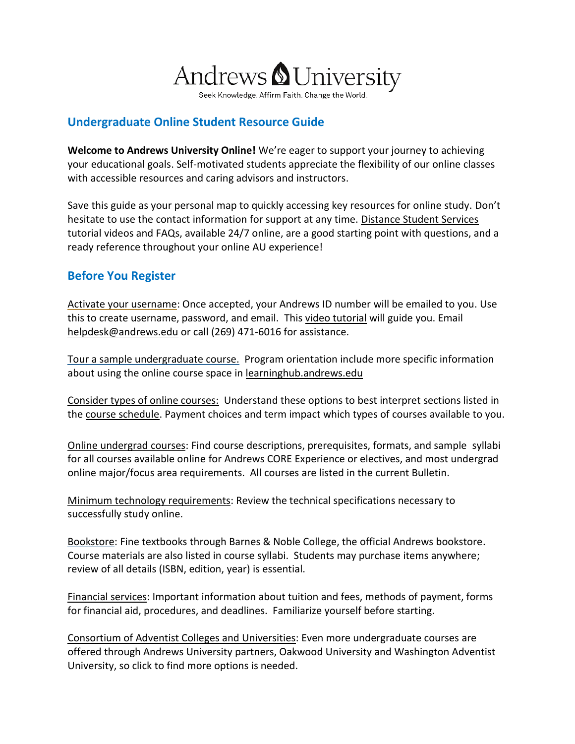

Seek Knowledge. Affirm Faith. Change the World.

## **Undergraduate Online Student Resource Guide**

**Welcome to Andrews University Online!** We're eager to support your journey to achieving your educational goals. Self-motivated students appreciate the flexibility of our online classes with accessible resources and caring advisors and instructors.

Save this guide as your personal map to quickly accessing key resources for online study. Don't hesitate to use the contact information for support at any time. [Distance Student Services](https://www.andrews.edu/distance/students/) tutorial videos and FAQs, available 24/7 online, are a good starting point with questions, and a ready reference throughout your online AU experience!

# **Before You Register**

[Activate your username:](https://vault.andrews.edu/vault/pages/activation/information.jsp) Once accepted, your Andrews ID number will be emailed to you. Use this to create username, password, and email. This [video tutorial](https://youtu.be/nCa3bp4e3Kc) will guide you. Email [helpdesk@andrews.edu](mailto:helpdesk@andrews.edu) or call (269) 471-6016 for assistance.

[Tour a sample undergraduate course.](https://www.andrews.edu/distance/ugonlinecoursetour.pdf) Program orientation include more specific information about using the online course space in [learninghub.andrews.edu](http://learninghub.andrews.edu/)

[Consider types of online courses:](https://www.andrews.edu/distance/courses/delivery.html) Understand these options to best interpret sections listed in the [course schedule.](http://vault.andrews.edu/schedule/) Payment choices and term impact which types of courses available to you.

[Online undergrad](https://www.andrews.edu/distance/courses/undergrad/) courses: Find course descriptions, prerequisites, formats, and sample syllabi for all courses available online for Andrews CORE Experience or electives, and most undergrad online major/focus area requirements. All courses are listed in the current Bulletin.

[Minimum technology requirements:](https://www.andrews.edu/distance/degrees/tech-requirements.html) Review the technical specifications necessary to successfully study online.

[Bookstore:](http://bookstore.andrews.edu/) Fine textbooks through Barnes & Noble College, the official Andrews bookstore. Course materials are also listed in course syllabi. Students may purchase items anywhere; review of all details (ISBN, edition, year) is essential.

[Financial services:](https://www.andrews.edu/distance/students/finances/) Important information about tuition and fees, methods of payment, forms for financial aid, procedures, and deadlines. Familiarize yourself before starting.

[Consortium of Adventist Colleges and Universities:](https://www.andrews.edu/distance/consortium_catalog.pdf#page=9) Even more undergraduate courses are offered through Andrews University partners, Oakwood University and Washington Adventist University, so click to find more options is needed.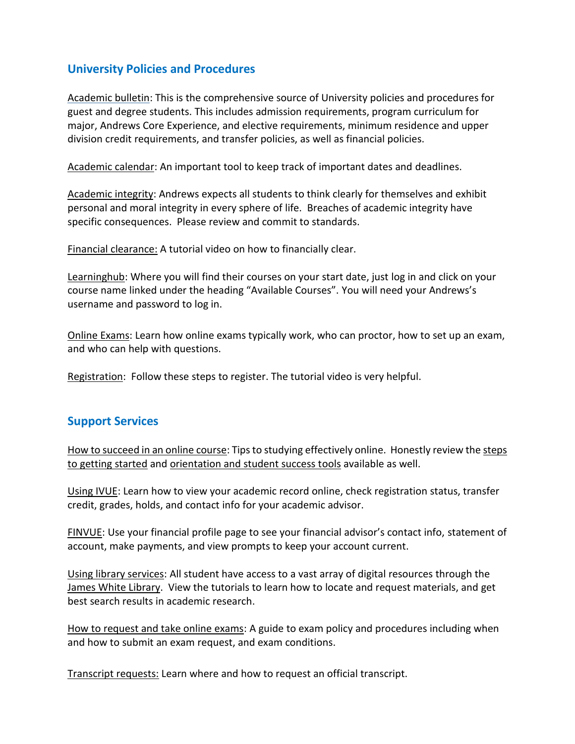## **University Policies and Procedures**

[Academic](http://bulletin.andrews.edu/) bulletin: This is the comprehensive source of University policies and procedures for guest and degree students. This includes admission requirements, program curriculum for major, Andrews Core Experience, and elective requirements, minimum residence and upper division credit requirements, and transfer policies, as well as financial policies.

[Academic calendar:](https://bulletin.andrews.edu/content.php?catoid=11&navoid=1322) An important tool to keep track of important dates and deadlines.

[Academic integrity:](https://bulletin.andrews.edu/content.php?catoid=11&navoid=1327#Student_Responsibilities) Andrews expects all students to think clearly for themselves and exhibit personal and moral integrity in every sphere of life. Breaches of academic integrity have specific consequences. Please review and commit to standards.

[Financial clearance:](https://www.youtube.com/watch?v=XjJPJMWtjQY) A tutorial video on how to financially clear.

[Learninghub:](https://www.andrews.edu/weblmsc/moodle/public/moodle/lhloginpage/altlogin.html) Where you will find their courses on your start date, just log in and click on your course name linked under the heading "Available Courses". You will need your Andrews's username and password to log in.

[Online Exams:](https://www.andrews.edu/distance/students/exams.html) Learn how online exams typically work, who can proctor, how to set up an exam, and who can help with questions.

[Registration:](https://www.andrews.edu/distance/students/registration/) Follow these steps to register. The tutorial video is very helpful.

#### **Support Services**

[How to succeed in an online course:](https://youtu.be/UiD6UmfxIpA) Tips to studying effectively online. Honestly review th[e steps](https://www.andrews.edu/distance/students/getstarted/)  [to getting started](https://www.andrews.edu/distance/students/getstarted/) and [orientation and student success tools](https://www.andrews.edu/distance/students/orient-success/) available as well.

[Using IVUE](https://youtu.be/tQEAZ0ImBPg): Learn how to view your academic record online, check registration status, transfer credit, grades, holds, and contact info for your academic advisor.

[FINVUE:](https://vault.andrews.edu/vault/app/pages/secure/sfs/finvue/snapshot) Use your financial profile page to see your financial advisor's contact info, statement of account, make payments, and view prompts to keep your account current.

Using [library services:](https://www.andrews.edu/distance/students/videos.html#collapse5) All student have access to a vast array of digital resources through the [James White Library.](https://www.andrews.edu/library/index.cgi) View the tutorials to learn how to locate and request materials, and get best search results in academic research.

[How to request and take online exams](https://youtu.be/uLBuqHd4cs4): A guide to exam policy and procedures including when and how to submit an exam request, and exam conditions.

[Transcript requests:](https://www.andrews.edu/distance/students/gradplu/transcript-requests.html) Learn where and how to request an official transcript.